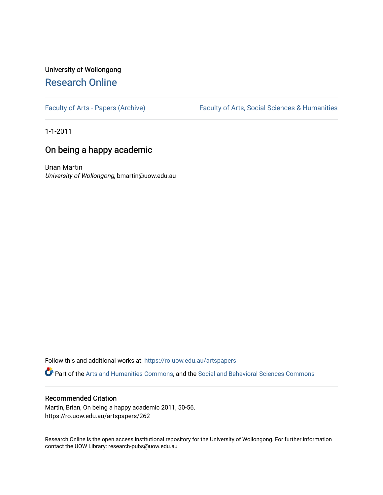# University of Wollongong [Research Online](https://ro.uow.edu.au/)

[Faculty of Arts - Papers \(Archive\)](https://ro.uow.edu.au/artspapers) Faculty of Arts, Social Sciences & Humanities

1-1-2011

# On being a happy academic

Brian Martin University of Wollongong, bmartin@uow.edu.au

Follow this and additional works at: [https://ro.uow.edu.au/artspapers](https://ro.uow.edu.au/artspapers?utm_source=ro.uow.edu.au%2Fartspapers%2F262&utm_medium=PDF&utm_campaign=PDFCoverPages) 

Part of the [Arts and Humanities Commons,](http://network.bepress.com/hgg/discipline/438?utm_source=ro.uow.edu.au%2Fartspapers%2F262&utm_medium=PDF&utm_campaign=PDFCoverPages) and the [Social and Behavioral Sciences Commons](http://network.bepress.com/hgg/discipline/316?utm_source=ro.uow.edu.au%2Fartspapers%2F262&utm_medium=PDF&utm_campaign=PDFCoverPages)

## Recommended Citation

Martin, Brian, On being a happy academic 2011, 50-56. https://ro.uow.edu.au/artspapers/262

Research Online is the open access institutional repository for the University of Wollongong. For further information contact the UOW Library: research-pubs@uow.edu.au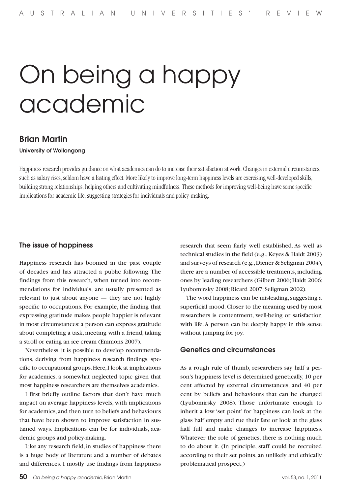# On being a happy academic

# Brian Martin

University of Wollongong

Happiness research provides guidance on what academics can do to increase their satisfaction at work. Changes in external circumstances, such as salary rises, seldom have a lasting effect. More likely to improve long-term happiness levels are exercising well-developed skills, building strong relationships, helping others and cultivating mindfulness. These methods for improving well-being have some specific implications for academic life, suggesting strategies for individuals and policy-making.

## The issue of happiness

Happiness research has boomed in the past couple of decades and has attracted a public following. The findings from this research, when turned into recommendations for individuals, are usually presented as relevant to just about anyone — they are not highly specific to occupations. For example, the finding that expressing gratitude makes people happier is relevant in most circumstances: a person can express gratitude about completing a task, meeting with a friend, taking a stroll or eating an ice cream (Emmons 2007).

Nevertheless, it is possible to develop recommendations, deriving from happiness research findings, specific to occupational groups. Here, I look at implications for academics, a somewhat neglected topic given that most happiness researchers are themselves academics.

I first briefly outline factors that don't have much impact on average happiness levels, with implications for academics, and then turn to beliefs and behaviours that have been shown to improve satisfaction in sustained ways. Implications can be for individuals, academic groups and policy-making.

Like any research field, in studies of happiness there is a huge body of literature and a number of debates and differences. I mostly use findings from happiness

research that seem fairly well established. As well as technical studies in the field (e.g., Keyes & Haidt 2003) and surveys of research (e.g., Diener & Seligman 2004), there are a number of accessible treatments, including ones by leading researchers (Gilbert 2006; Haidt 2006; Lyubomirsky 2008; Ricard 2007; Seligman 2002).

The word happiness can be misleading, suggesting a superficial mood. Closer to the meaning used by most researchers is contentment, well-being or satisfaction with life. A person can be deeply happy in this sense without jumping for joy.

## Genetics and circumstances

As a rough rule of thumb, researchers say half a person's happiness level is determined genetically, 10 per cent affected by external circumstances, and 40 per cent by beliefs and behaviours that can be changed (Lyubomirsky 2008). Those unfortunate enough to inherit a low 'set point' for happiness can look at the glass half empty and rue their fate or look at the glass half full and make changes to increase happiness. Whatever the role of genetics, there is nothing much to do about it. (In principle, staff could be recruited according to their set points, an unlikely and ethically problematical prospect.)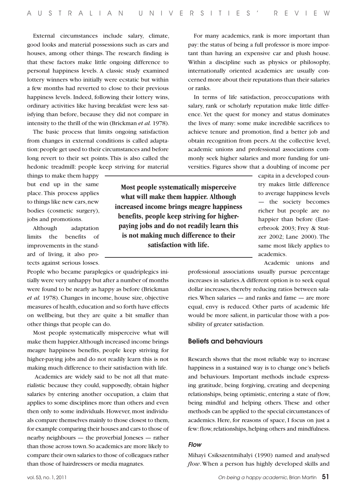External circumstances include salary, climate, good looks and material possessions such as cars and houses, among other things. The research finding is that these factors make little ongoing difference to personal happiness levels. A classic study examined lottery winners who initially were ecstatic but within a few months had reverted to close to their previous happiness levels. Indeed, following their lottery wins, ordinary activities like having breakfast were less satisfying than before, because they did not compare in intensity to the thrill of the win (Brickman *et al.* 1978).

The basic process that limits ongoing satisfaction from changes in external conditions is called adaptation: people get used to their circumstances and before long revert to their set points. This is also called the hedonic treadmill: people keep striving for material

things to make them happy but end up in the same place. This process applies to things like new cars, new bodies (cosmetic surgery), jobs and promotions.

Although adaptation limits the benefits of improvements in the standard of living, it also protects against serious losses.

People who became paraplegics or quadriplegics initially were very unhappy but after a number of months were found to be nearly as happy as before (Brickman *et al.* 1978). Changes in income, house size, objective measures of health, education and so forth have effects on wellbeing, but they are quite a bit smaller than other things that people can do.

Most people systematically misperceive what will make them happier. Although increased income brings meagre happiness benefits, people keep striving for higher-paying jobs and do not readily learn this is not making much difference to their satisfaction with life.

 Academics are widely said to be not all that materialistic because they could, supposedly, obtain higher salaries by entering another occupation, a claim that applies to some disciplines more than others and even then only to some individuals. However, most individuals compare themselves mainly to those closest to them, for example comparing their houses and cars to those of nearby neighbours — the proverbial Joneses — rather than those across town. So academics are more likely to compare their own salaries to those of colleagues rather than those of hairdressers or media magnates.

For many academics, rank is more important than pay: the status of being a full professor is more important than having an expensive car and plush house. Within a discipline such as physics or philosophy, internationally oriented academics are usually concerned more about their reputations than their salaries or ranks.

In terms of life satisfaction, preoccupations with salary, rank or scholarly reputation make little difference. Yet the quest for money and status dominates the lives of many: some make incredible sacrifices to achieve tenure and promotion, find a better job and obtain recognition from peers. At the collective level, academic unions and professional associations commonly seek higher salaries and more funding for universities. Figures show that a doubling of income per

> capita in a developed country makes little difference to average happiness levels — the society becomes richer but people are no happier than before (Easterbrook 2003; Frey & Stutzer 2002; Lane 2000). The same most likely applies to academics.

Academic unions and

professional associations usually pursue percentage increases in salaries. A different option is to seek equal dollar increases, thereby reducing ratios between salaries. When salaries — and ranks and fame — are more equal, envy is reduced. Other parts of academic life would be more salient, in particular those with a possibility of greater satisfaction.

#### Beliefs and behaviours

Research shows that the most reliable way to increase happiness in a sustained way is to change one's beliefs and behaviours. Important methods include expressing gratitude, being forgiving, creating and deepening relationships, being optimistic, entering a state of flow, being mindful and helping others. These and other methods can be applied to the special circumstances of academics. Here, for reasons of space, I focus on just a few: flow, relationships, helping others and mindfulness.

#### *Flow*

Mihayi Csikszentmihalyi (1990) named and analysed *flow*. When a person has highly developed skills and

**Most people systematically misperceive what will make them happier. Although increased income brings meagre happiness benefits, people keep striving for higherpaying jobs and do not readily learn this is not making much difference to their satisfaction with life.**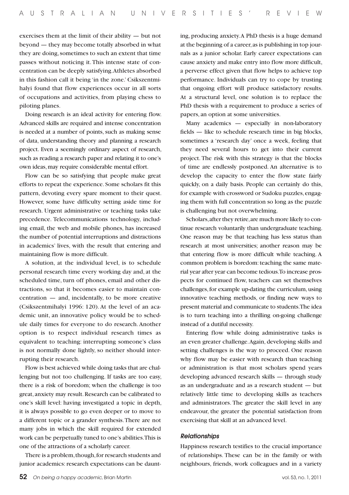exercises them at the limit of their ability — but not beyond — they may become totally absorbed in what they are doing, sometimes to such an extent that time passes without noticing it. This intense state of concentration can be deeply satisfying. Athletes absorbed in this fashion call it being 'in the zone.' Csikszentmihalyi found that flow experiences occur in all sorts of occupations and activities, from playing chess to piloting planes.

Doing research is an ideal activity for entering flow. Advanced skills are required and intense concentration is needed at a number of points, such as making sense of data, understanding theory and planning a research project. Even a seemingly ordinary aspect of research, such as reading a research paper and relating it to one's own ideas, may require considerable mental effort.

Flow can be so satisfying that people make great efforts to repeat the experience. Some scholars fit this pattern, devoting every spare moment to their quest. However, some have difficulty setting aside time for research. Urgent administrative or teaching tasks take precedence. Telecommunications technology, including email, the web and mobile phones, has increased the number of potential interruptions and distractions in academics' lives, with the result that entering and maintaining flow is more difficult.

A solution, at the individual level, is to schedule personal research time every working day and, at the scheduled time, turn off phones, email and other distractions, so that it becomes easier to maintain concentration — and, incidentally, to be more creative (Csikszentmihalyi 1996: 120). At the level of an academic unit, an innovative policy would be to schedule daily times for everyone to do research. Another option is to respect individual research times as equivalent to teaching: interrupting someone's class is not normally done lightly, so neither should interrupting their research.

Flow is best achieved while doing tasks that are challenging but not too challenging. If tasks are too easy, there is a risk of boredom; when the challenge is too great, anxiety may result. Research can be calibrated to one's skill level: having investigated a topic in depth, it is always possible to go even deeper or to move to a different topic or a grander synthesis. There are not many jobs in which the skill required for extended work can be perpetually tuned to one's abilities. This is one of the attractions of a scholarly career.

There is a problem, though, for research students and junior academics: research expectations can be daunt-

ing, producing anxiety. A PhD thesis is a huge demand at the beginning of a career, as is publishing in top journals as a junior scholar. Early career expectations can cause anxiety and make entry into flow more difficult, a perverse effect given that flow helps to achieve top performance. Individuals can try to cope by trusting that ongoing effort will produce satisfactory results. At a structural level, one solution is to replace the PhD thesis with a requirement to produce a series of papers, an option at some universities.

Many academics — especially in non-laboratory fields — like to schedule research time in big blocks, sometimes a 'research day' once a week, feeling that they need several hours to get into their current project. The risk with this strategy is that the blocks of time are endlessly postponed. An alternative is to develop the capacity to enter the flow state fairly quickly, on a daily basis. People can certainly do this, for example with crossword or Sudoku puzzles, engaging them with full concentration so long as the puzzle is challenging but not overwhelming.

Scholars, after they retire, are much more likely to continue research voluntarily than undergraduate teaching. One reason may be that teaching has less status than research at most universities; another reason may be that entering flow is more difficult while teaching. A common problem is boredom: teaching the same material year after year can become tedious. To increase prospects for continued flow, teachers can set themselves challenges, for example up-dating the curriculum, using innovative teaching methods, or finding new ways to present material and communicate to students. The idea is to turn teaching into a thrilling on-going challenge instead of a dutiful necessity.

Entering flow while doing administrative tasks is an even greater challenge. Again, developing skills and setting challenges is the way to proceed. One reason why flow may be easier with research than teaching or administration is that most scholars spend years developing advanced research skills — through study as an undergraduate and as a research student — but relatively little time to developing skills as teachers and administrators. The greater the skill level in any endeavour, the greater the potential satisfaction from exercising that skill at an advanced level.

#### *Relationships*

Happiness research testifies to the crucial importance of relationships. These can be in the family or with neighbours, friends, work colleagues and in a variety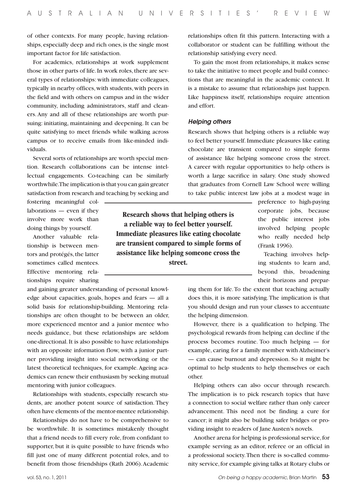of other contexts. For many people, having relationships, especially deep and rich ones, is the single most important factor for life satisfaction.

For academics, relationships at work supplement those in other parts of life. In work roles, there are several types of relationships: with immediate colleagues, typically in nearby offices, with students, with peers in the field and with others on campus and in the wider community, including administrators, staff and cleaners. Any and all of these relationships are worth pursuing: initiating, maintaining and deepening. It can be quite satisfying to meet friends while walking across campus or to receive emails from like-minded individuals.

Several sorts of relationships are worth special mention. Research collaborations can be intense intellectual engagements. Co-teaching can be similarly worthwhile. The implication is that you can gain greater satisfaction from research and teaching by seeking and

fostering meaningful collaborations — even if they involve more work than doing things by yourself.

Another valuable relationship is between mentors and protégés, the latter sometimes called mentees. Effective mentoring relationships require sharing

and gaining greater understanding of personal knowledge about capacities, goals, hopes and fears — all a solid basis for relationship-building. Mentoring relationships are often thought to be between an older, more experienced mentor and a junior mentee who needs guidance, but these relationships are seldom one-directional. It is also possible to have relationships with an opposite information flow, with a junior partner providing insight into social networking or the latest theoretical techniques, for example. Ageing academics can renew their enthusiasm by seeking mutual mentoring with junior colleagues.

Relationships with students, especially research students, are another potent source of satisfaction. They often have elements of the mentor-mentee relationship.

Relationships do not have to be comprehensive to be worthwhile. It is sometimes mistakenly thought that a friend needs to fill every role, from confidant to supporter, but it is quite possible to have friends who fill just one of many different potential roles, and to benefit from those friendships (Rath 2006). Academic

**Research shows that helping others is a reliable way to feel better yourself. Immediate pleasures like eating chocolate are transient compared to simple forms of assistance like helping someone cross the street.** 

relationships often fit this pattern. Interacting with a collaborator or student can be fulfilling without the relationship satisfying every need.

To gain the most from relationships, it makes sense to take the initiative to meet people and build connections that are meaningful in the academic context. It is a mistake to assume that relationships just happen. Like happiness itself, relationships require attention and effort.

#### *Helping others*

Research shows that helping others is a reliable way to feel better yourself. Immediate pleasures like eating chocolate are transient compared to simple forms of assistance like helping someone cross the street. A career with regular opportunities to help others is worth a large sacrifice in salary. One study showed that graduates from Cornell Law School were willing to take public interest law jobs at a modest wage in

> preference to high-paying corporate jobs, because the public interest jobs involved helping people who really needed help (Frank 1996).

> Teaching involves helping students to learn and, beyond this, broadening their horizons and prepar-

ing them for life. To the extent that teaching actually does this, it is more satisfying. The implication is that you should design and run your classes to accentuate the helping dimension.

However, there is a qualification to helping. The psychological rewards from helping can decline if the process becomes routine. Too much helping — for example, caring for a family member with Alzheimer's — can cause burnout and depression. So it might be optimal to help students to help themselves or each other.

Helping others can also occur through research. The implication is to pick research topics that have a connection to social welfare rather than only career advancement. This need not be finding a cure for cancer; it might also be building safer bridges or providing insight to readers of Jane Austen's novels.

Another arena for helping is professional service, for example serving as an editor, referee or an official in a professional society. Then there is so-called community service, for example giving talks at Rotary clubs or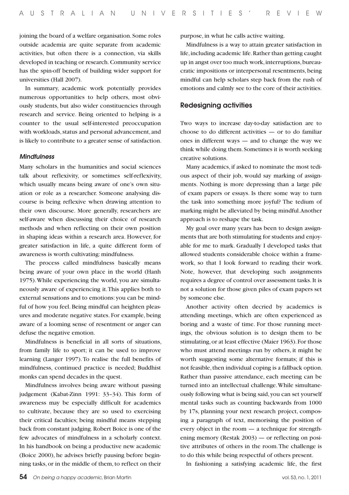joining the board of a welfare organisation. Some roles outside academia are quite separate from academic activities, but often there is a connection, via skills developed in teaching or research. Community service has the spin-off benefit of building wider support for universities (Hall 2007).

In summary, academic work potentially provides numerous opportunities to help others, most obviously students, but also wider constituencies through research and service. Being oriented to helping is a counter to the usual self-interested preoccupation with workloads, status and personal advancement, and is likely to contribute to a greater sense of satisfaction.

#### *Mindfulness*

Many scholars in the humanities and social sciences talk about reflexivity, or sometimes self-reflexivity, which usually means being aware of one's own situation or role as a researcher. Someone analysing discourse is being reflexive when drawing attention to their own discourse. More generally, researchers are self-aware when discussing their choice of research methods and when reflecting on their own position in shaping ideas within a research area. However, for greater satisfaction in life, a quite different form of awareness is worth cultivating: mindfulness.

The process called mindfulness basically means being aware of your own place in the world (Hanh 1975). While experiencing the world, you are simultaneously aware of experiencing it. This applies both to external sensations and to emotions: you can be mindful of how you feel. Being mindful can heighten pleasures and moderate negative states. For example, being aware of a looming sense of resentment or anger can defuse the negative emotion.

Mindfulness is beneficial in all sorts of situations, from family life to sport; it can be used to improve learning (Langer 1997). To realise the full benefits of mindfulness, continued practice is needed; Buddhist monks can spend decades in the quest.

Mindfulness involves being aware without passing judgement (Kabat-Zinn 1991: 33–34). This form of awareness may be especially difficult for academics to cultivate, because they are so used to exercising their critical faculties; being mindful means stepping back from constant judging. Robert Boice is one of the few advocates of mindfulness in a scholarly context. In his handbook on being a productive new academic (Boice 2000), he advises briefly pausing before beginning tasks, or in the middle of them, to reflect on their

purpose, in what he calls active waiting.

Mindfulness is a way to attain greater satisfaction in life, including academic life. Rather than getting caught up in angst over too much work, interruptions, bureaucratic impositions or interpersonal resentments, being mindful can help scholars step back from the rush of emotions and calmly see to the core of their activities.

#### Redesigning activities

Two ways to increase day-to-day satisfaction are to choose to do different activities — or to do familiar ones in different ways — and to change the way we think while doing them. Sometimes it is worth seeking creative solutions.

Many academics, if asked to nominate the most tedious aspect of their job, would say marking of assignments. Nothing is more depressing than a large pile of exam papers or essays. Is there some way to turn the task into something more joyful? The tedium of marking might be alleviated by being mindful. Another approach is to reshape the task.

My goal over many years has been to design assignments that are both stimulating for students and enjoyable for me to mark. Gradually I developed tasks that allowed students considerable choice within a framework, so that I look forward to reading their work. Note, however, that developing such assignments requires a degree of control over assessment tasks. It is not a solution for those given piles of exam papers set by someone else.

Another activity often decried by academics is attending meetings, which are often experienced as boring and a waste of time. For those running meetings, the obvious solution is to design them to be stimulating, or at least effective (Maier 1963). For those who must attend meetings run by others, it might be worth suggesting some alternative formats; if this is not feasible, then individual coping is a fallback option. Rather than passive attendance, each meeting can be turned into an intellectual challenge. While simultaneously following what is being said, you can set yourself mental tasks such as counting backwards from 1000 by 17s, planning your next research project, composing a paragraph of text, memorising the position of every object in the room — a technique for strengthening memory (Restak 2003) — or reflecting on positive attributes of others in the room. The challenge is to do this while being respectful of others present.

In fashioning a satisfying academic life, the first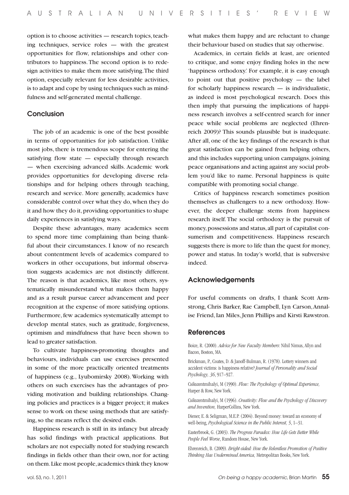option is to choose activities — research topics, teaching techniques, service roles — with the greatest opportunities for flow, relationships and other contributors to happiness. The second option is to redesign activities to make them more satisfying. The third option, especially relevant for less desirable activities, is to adapt and cope by using techniques such as mindfulness and self-generated mental challenge.

#### Conclusion

The job of an academic is one of the best possible in terms of opportunities for job satisfaction. Unlike most jobs, there is tremendous scope for entering the satisfying flow state — especially through research — when exercising advanced skills. Academic work provides opportunities for developing diverse relationships and for helping others through teaching, research and service. More generally, academics have considerable control over what they do, when they do it and how they do it, providing opportunities to shape daily experiences in satisfying ways.

Despite these advantages, many academics seem to spend more time complaining than being thankful about their circumstances. I know of no research about contentment levels of academics compared to workers in other occupations, but informal observation suggests academics are not distinctly different. The reason is that academics, like most others, systematically misunderstand what makes them happy and as a result pursue career advancement and peer recognition at the expense of more satisfying options. Furthermore, few academics systematically attempt to develop mental states, such as gratitude, forgiveness, optimism and mindfulness that have been shown to lead to greater satisfaction.

To cultivate happiness-promoting thoughts and behaviours, individuals can use exercises presented in some of the more practically oriented treatments of happiness (e.g., Lyubomirsky 2008). Working with others on such exercises has the advantages of providing motivation and building relationships. Changing policies and practices is a bigger project; it makes sense to work on these using methods that are satisfying, so the means reflect the desired ends.

Happiness research is still in its infancy but already has solid findings with practical applications. But scholars are not especially noted for studying research findings in fields other than their own, nor for acting on them. Like most people, academics think they know

what makes them happy and are reluctant to change their behaviour based on studies that say otherwise.

Academics, in certain fields at least, are oriented to critique, and some enjoy finding holes in the new 'happiness orthodoxy.' For example, it is easy enough to point out that positive psychology — the label for scholarly happiness research — is individualistic, as indeed is most psychological research. Does this then imply that pursuing the implications of happiness research involves a self-centred search for inner peace while social problems are neglected (Ehrenreich 2009)? This sounds plausible but is inadequate. After all, one of the key findings of the research is that great satisfaction can be gained from helping others, and this includes supporting union campaigns, joining peace organisations and acting against any social problem you'd like to name. Personal happiness is quite compatible with promoting social change.

Critics of happiness research sometimes position themselves as challengers to a new orthodoxy. However, the deeper challenge stems from happiness research itself. The social orthodoxy is the pursuit of money, possessions and status, all part of capitalist consumerism and competitiveness. Happiness research suggests there is more to life than the quest for money, power and status. In today's world, that is subversive indeed.

#### Acknowledgements

For useful comments on drafts, I thank Scott Armstrong, Chris Barker, Rae Campbell, Lyn Carson, Annalise Friend, Ian Miles, Jenn Phillips and Kirsti Rawstron.

#### References

Boice, R. (2000). *Advice for New Faculty Members*: Nihil Nimus, Allyn and Bacon, Boston, MA.

Brickman, P., Coates, D. & Janoff-Bulman, R. (1978). Lottery winners and accident victims: is happiness relative? *Journal of Personality and Social Psychology, 36*, 917–927.

Csikszentmihalyi, M (1990). *Flow: The Psychology of Optimal Experience,* Harper & Row, New York.

Csikszentmihalyi, M (1996). *Creativity: Flow and the Psychology of Discovery and Invention,* HarperCollins, New York.

Diener, E. & Seligman, M.E.P. (2004). Beyond money: toward an economy of well-being, *Psychological Science in the Public Interest, 5*, 1–31.

Easterbrook, G. (2003). *The Progress Paradox: How Life Gets Better While People Feel Worse*, Random House, New York.

Ehrenreich, B. (2009). *Bright-sided: How the Relentless Promotion of Positive Thinking Has Undermined America,* Metropolitan Books, New York.